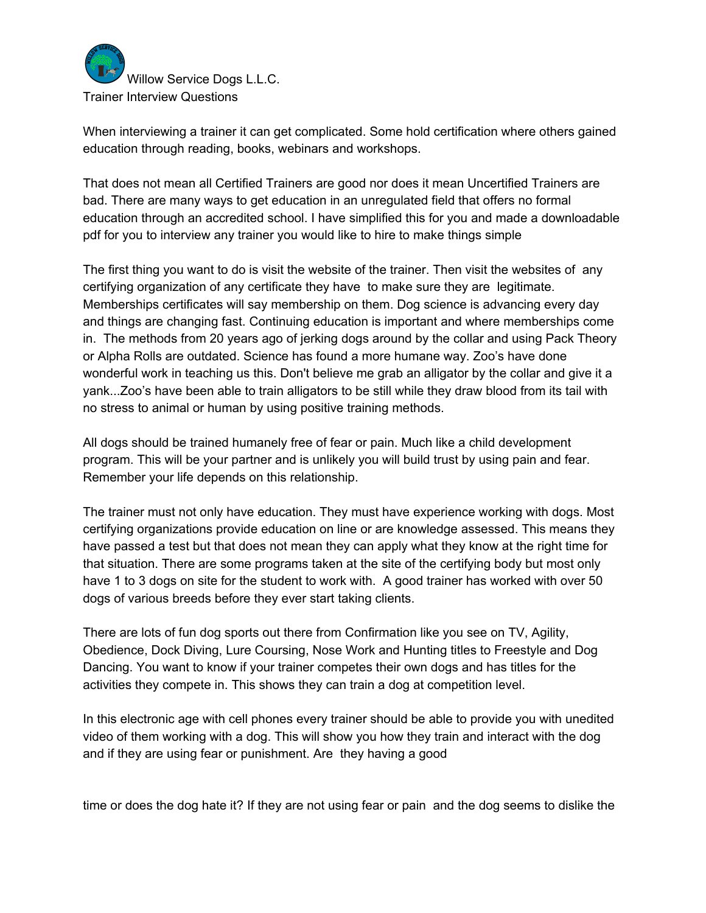

When interviewing a trainer it can get complicated. Some hold certification where others gained education through reading, books, webinars and workshops.

That does not mean all Certified Trainers are good nor does it mean Uncertified Trainers are bad. There are many ways to get education in an unregulated field that offers no formal education through an accredited school. I have simplified this for you and made a downloadable pdf for you to interview any trainer you would like to hire to make things simple

The first thing you want to do is visit the website of the trainer. Then visit the websites of any certifying organization of any certificate they have to make sure they are legitimate. Memberships certificates will say membership on them. Dog science is advancing every day and things are changing fast. Continuing education is important and where memberships come in. The methods from 20 years ago of jerking dogs around by the collar and using Pack Theory or Alpha Rolls are outdated. Science has found a more humane way. Zoo's have done wonderful work in teaching us this. Don't believe me grab an alligator by the collar and give it a yank...Zoo's have been able to train alligators to be still while they draw blood from its tail with no stress to animal or human by using positive training methods.

All dogs should be trained humanely free of fear or pain. Much like a child development program. This will be your partner and is unlikely you will build trust by using pain and fear. Remember your life depends on this relationship.

The trainer must not only have education. They must have experience working with dogs. Most certifying organizations provide education on line or are knowledge assessed. This means they have passed a test but that does not mean they can apply what they know at the right time for that situation. There are some programs taken at the site of the certifying body but most only have 1 to 3 dogs on site for the student to work with. A good trainer has worked with over 50 dogs of various breeds before they ever start taking clients.

There are lots of fun dog sports out there from Confirmation like you see on TV, Agility, Obedience, Dock Diving, Lure Coursing, Nose Work and Hunting titles to Freestyle and Dog Dancing. You want to know if your trainer competes their own dogs and has titles for the activities they compete in. This shows they can train a dog at competition level.

In this electronic age with cell phones every trainer should be able to provide you with unedited video of them working with a dog. This will show you how they train and interact with the dog and if they are using fear or punishment. Are they having a good

time or does the dog hate it? If they are not using fear or pain and the dog seems to dislike the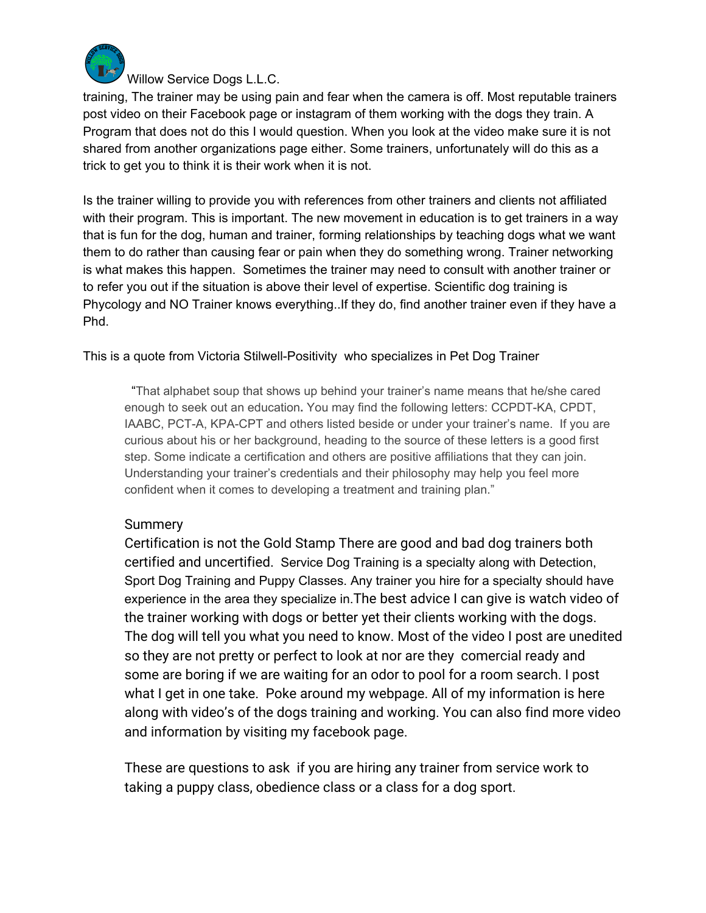

Willow Service Dogs L.L.C.

training, The trainer may be using pain and fear when the camera is off. Most reputable trainers post video on their Facebook page or instagram of them working with the dogs they train. A Program that does not do this I would question. When you look at the video make sure it is not shared from another organizations page either. Some trainers, unfortunately will do this as a trick to get you to think it is their work when it is not.

Is the trainer willing to provide you with references from other trainers and clients not affiliated with their program. This is important. The new movement in education is to get trainers in a way that is fun for the dog, human and trainer, forming relationships by teaching dogs what we want them to do rather than causing fear or pain when they do something wrong. Trainer networking is what makes this happen. Sometimes the trainer may need to consult with another trainer or to refer you out if the situation is above their level of expertise. Scientific dog training is Phycology and NO Trainer knows everything..If they do, find another trainer even if they have a Phd.

This is a quote from Victoria Stilwell-Positivity who specializes in Pet Dog Trainer

"That alphabet soup that shows up behind your trainer's name means that he/she cared enough to seek out an education**.** You may find the following letters: CCPDT-KA, CPDT, IAABC, PCT-A, KPA-CPT and others listed beside or under your trainer's name. If you are curious about his or her background, heading to the source of these letters is a good first step. Some indicate a certification and others are positive affiliations that they can join. Understanding your trainer's credentials and their philosophy may help you feel more confident when it comes to developing a treatment and training plan."

## Summery

Certification is not the Gold Stamp There are good and bad dog trainers both certified and uncertified. Service Dog Training is a specialty along with Detection, Sport Dog Training and Puppy Classes. Any trainer you hire for a specialty should have experience in the area they specialize in.The best advice I can give is watch video of the trainer working with dogs or better yet their clients working with the dogs. The dog will tell you what you need to know. Most of the video I post are unedited so they are not pretty or perfect to look at nor are they comercial ready and some are boring if we are waiting for an odor to pool for a room search. I post what I get in one take. Poke around my webpage. All of my information is here along with video's of the dogs training and working. You can also find more video and information by visiting my facebook page.

These are questions to ask if you are hiring any trainer from service work to taking a puppy class, obedience class or a class for a dog sport.